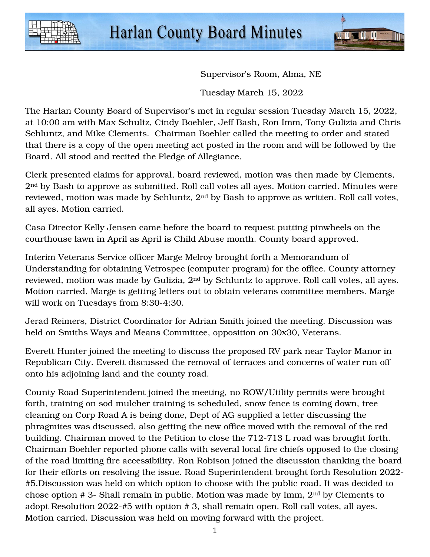



Supervisor's Room, Alma, NE

Tuesday March 15, 2022

The Harlan County Board of Supervisor's met in regular session Tuesday March 15, 2022, at 10:00 am with Max Schultz, Cindy Boehler, Jeff Bash, Ron Imm, Tony Gulizia and Chris Schluntz, and Mike Clements. Chairman Boehler called the meeting to order and stated that there is a copy of the open meeting act posted in the room and will be followed by the Board. All stood and recited the Pledge of Allegiance.

Clerk presented claims for approval, board reviewed, motion was then made by Clements, 2nd by Bash to approve as submitted. Roll call votes all ayes. Motion carried. Minutes were reviewed, motion was made by Schluntz, 2nd by Bash to approve as written. Roll call votes, all ayes. Motion carried.

Casa Director Kelly Jensen came before the board to request putting pinwheels on the courthouse lawn in April as April is Child Abuse month. County board approved.

Interim Veterans Service officer Marge Melroy brought forth a Memorandum of Understanding for obtaining Vetrospec (computer program) for the office. County attorney reviewed, motion was made by Gulizia, 2<sup>nd</sup> by Schluntz to approve. Roll call votes, all ayes. Motion carried. Marge is getting letters out to obtain veterans committee members. Marge will work on Tuesdays from 8:30-4:30.

Jerad Reimers, District Coordinator for Adrian Smith joined the meeting. Discussion was held on Smiths Ways and Means Committee, opposition on 30x30, Veterans.

Everett Hunter joined the meeting to discuss the proposed RV park near Taylor Manor in Republican City. Everett discussed the removal of terraces and concerns of water run off onto his adjoining land and the county road.

County Road Superintendent joined the meeting, no ROW/Utility permits were brought forth, training on sod mulcher training is scheduled, snow fence is coming down, tree cleaning on Corp Road A is being done, Dept of AG supplied a letter discussing the phragmites was discussed, also getting the new office moved with the removal of the red building. Chairman moved to the Petition to close the 712-713 L road was brought forth. Chairman Boehler reported phone calls with several local fire chiefs opposed to the closing of the road limiting fire accessibility. Ron Robison joined the discussion thanking the board for their efforts on resolving the issue. Road Superintendent brought forth Resolution 2022- #5.Discussion was held on which option to choose with the public road. It was decided to chose option # 3- Shall remain in public. Motion was made by Imm, 2nd by Clements to adopt Resolution 2022-#5 with option # 3, shall remain open. Roll call votes, all ayes. Motion carried. Discussion was held on moving forward with the project.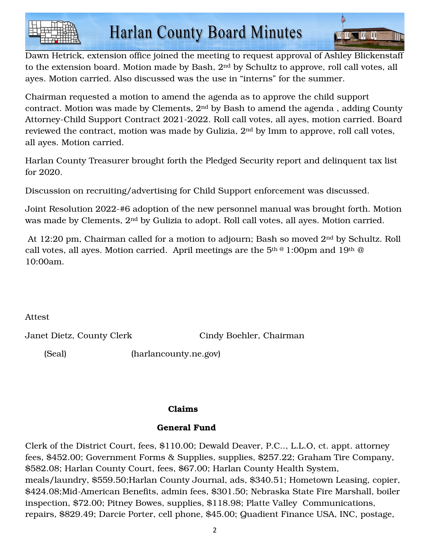

**All II Al II** II

Chairman requested a motion to amend the agenda as to approve the child support contract. Motion was made by Clements, 2nd by Bash to amend the agenda , adding County Attorney-Child Support Contract 2021-2022. Roll call votes, all ayes, motion carried. Board reviewed the contract, motion was made by Gulizia, 2nd by Imm to approve, roll call votes, all ayes. Motion carried.

Harlan County Treasurer brought forth the Pledged Security report and delinquent tax list for 2020.

Discussion on recruiting/advertising for Child Support enforcement was discussed.

Joint Resolution 2022-#6 adoption of the new personnel manual was brought forth. Motion was made by Clements, 2nd by Gulizia to adopt. Roll call votes, all ayes. Motion carried.

 At 12:20 pm, Chairman called for a motion to adjourn; Bash so moved 2nd by Schultz. Roll call votes, all ayes. Motion carried. April meetings are the  $5<sup>th @</sup> 1:00<sup>pm</sup> and 19<sup>th @</sup>$ 10:00am.

Attest

Janet Dietz, County Clerk Cindy Boehler, Chairman

(Seal) (harlancounty.ne.gov)

## Claims

## General Fund

Clerk of the District Court, fees, \$110.00; Dewald Deaver, P.C.., L.L.O, ct. appt. attorney fees, \$452.00; Government Forms & Supplies, supplies, \$257.22; Graham Tire Company, \$582.08; Harlan County Court, fees, \$67.00; Harlan County Health System, meals/laundry, \$559.50;Harlan County Journal, ads, \$340.51; Hometown Leasing, copier, \$424.08;Mid-American Benefits, admin fees, \$301.50; Nebraska State Fire Marshall, boiler inspection, \$72.00; Pitney Bowes, supplies, \$118.98; Platte Valley Communications, repairs, \$829.49; Darcie Porter, cell phone, \$45.00; Quadient Finance USA, INC, postage,